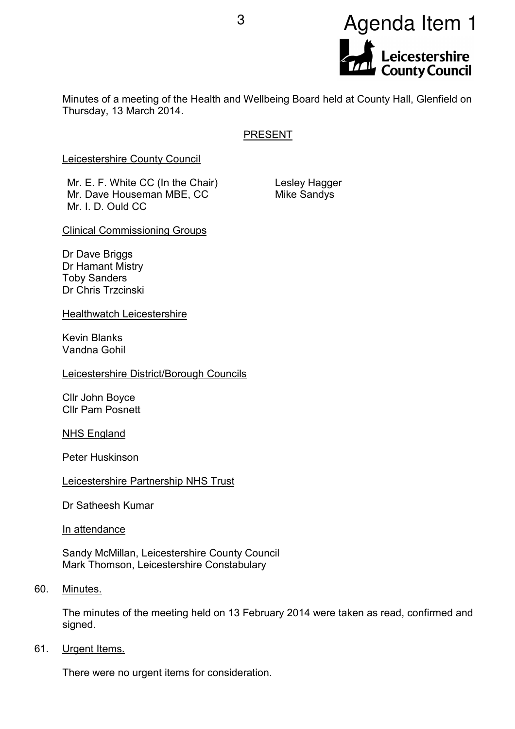

Minutes of a meeting of the Health and Wellbeing Board held at County Hall, Glenfield on Thursday, 13 March 2014.

# **PRESENT**

Leicestershire County Council

Mr. E. F. White CC (In the Chair) Mr. Dave Houseman MBE, CC Mr. I. D. Ould CC.

Lesley Hagger Mike Sandys

Clinical Commissioning Groups

Dr Dave Briggs Dr Hamant Mistry Toby Sanders Dr Chris Trzcinski

Healthwatch Leicestershire

Kevin Blanks Vandna Gohil

Leicestershire District/Borough Councils

Cllr John Boyce Cllr Pam Posnett

NHS England

Peter Huskinson

# Leicestershire Partnership NHS Trust

Dr Satheesh Kumar

In attendance

Sandy McMillan, Leicestershire County Council Mark Thomson, Leicestershire Constabulary

#### 60. Minutes.

The minutes of the meeting held on 13 February 2014 were taken as read, confirmed and signed.

#### 61. Urgent Items.

There were no urgent items for consideration.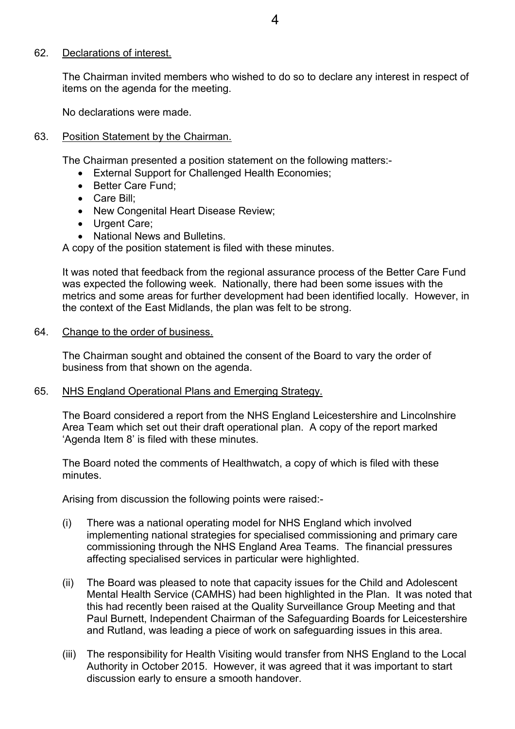## 62. Declarations of interest.

The Chairman invited members who wished to do so to declare any interest in respect of items on the agenda for the meeting.

No declarations were made.

## 63. Position Statement by the Chairman.

The Chairman presented a position statement on the following matters:-

- External Support for Challenged Health Economies;
- Better Care Fund:
- Care Bill;
- New Congenital Heart Disease Review;
- Urgent Care:
- National News and Bulletins.

A copy of the position statement is filed with these minutes.

It was noted that feedback from the regional assurance process of the Better Care Fund was expected the following week. Nationally, there had been some issues with the metrics and some areas for further development had been identified locally. However, in the context of the East Midlands, the plan was felt to be strong.

# 64. Change to the order of business.

The Chairman sought and obtained the consent of the Board to vary the order of business from that shown on the agenda.

# 65. NHS England Operational Plans and Emerging Strategy.

The Board considered a report from the NHS England Leicestershire and Lincolnshire Area Team which set out their draft operational plan. A copy of the report marked 'Agenda Item 8' is filed with these minutes.

The Board noted the comments of Healthwatch, a copy of which is filed with these minutes.

Arising from discussion the following points were raised:-

- (i) There was a national operating model for NHS England which involved implementing national strategies for specialised commissioning and primary care commissioning through the NHS England Area Teams. The financial pressures affecting specialised services in particular were highlighted.
- (ii) The Board was pleased to note that capacity issues for the Child and Adolescent Mental Health Service (CAMHS) had been highlighted in the Plan. It was noted that this had recently been raised at the Quality Surveillance Group Meeting and that Paul Burnett, Independent Chairman of the Safeguarding Boards for Leicestershire and Rutland, was leading a piece of work on safeguarding issues in this area.
- (iii) The responsibility for Health Visiting would transfer from NHS England to the Local Authority in October 2015. However, it was agreed that it was important to start discussion early to ensure a smooth handover.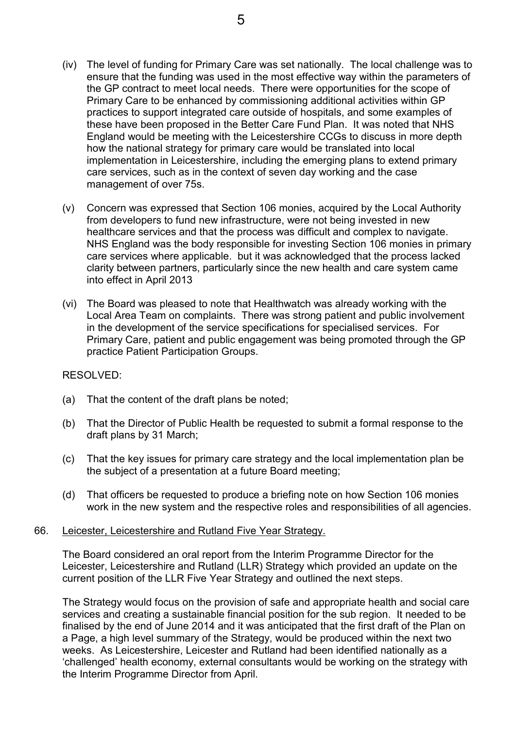- (iv) The level of funding for Primary Care was set nationally. The local challenge was to ensure that the funding was used in the most effective way within the parameters of the GP contract to meet local needs. There were opportunities for the scope of Primary Care to be enhanced by commissioning additional activities within GP practices to support integrated care outside of hospitals, and some examples of these have been proposed in the Better Care Fund Plan. It was noted that NHS England would be meeting with the Leicestershire CCGs to discuss in more depth how the national strategy for primary care would be translated into local implementation in Leicestershire, including the emerging plans to extend primary care services, such as in the context of seven day working and the case management of over 75s.
- (v) Concern was expressed that Section 106 monies, acquired by the Local Authority from developers to fund new infrastructure, were not being invested in new healthcare services and that the process was difficult and complex to navigate. NHS England was the body responsible for investing Section 106 monies in primary care services where applicable. but it was acknowledged that the process lacked clarity between partners, particularly since the new health and care system came into effect in April 2013
- (vi) The Board was pleased to note that Healthwatch was already working with the Local Area Team on complaints. There was strong patient and public involvement in the development of the service specifications for specialised services. For Primary Care, patient and public engagement was being promoted through the GP practice Patient Participation Groups.

# RESOLVED:

- (a) That the content of the draft plans be noted;
- (b) That the Director of Public Health be requested to submit a formal response to the draft plans by 31 March;
- (c) That the key issues for primary care strategy and the local implementation plan be the subject of a presentation at a future Board meeting;
- (d) That officers be requested to produce a briefing note on how Section 106 monies work in the new system and the respective roles and responsibilities of all agencies.

#### 66. Leicester, Leicestershire and Rutland Five Year Strategy.

The Board considered an oral report from the Interim Programme Director for the Leicester, Leicestershire and Rutland (LLR) Strategy which provided an update on the current position of the LLR Five Year Strategy and outlined the next steps.

The Strategy would focus on the provision of safe and appropriate health and social care services and creating a sustainable financial position for the sub region. It needed to be finalised by the end of June 2014 and it was anticipated that the first draft of the Plan on a Page, a high level summary of the Strategy, would be produced within the next two weeks. As Leicestershire, Leicester and Rutland had been identified nationally as a 'challenged' health economy, external consultants would be working on the strategy with the Interim Programme Director from April.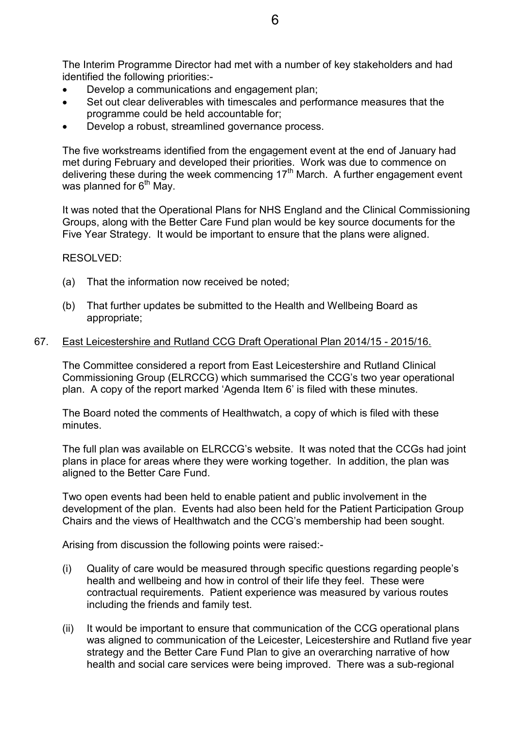The Interim Programme Director had met with a number of key stakeholders and had identified the following priorities:-

- Develop a communications and engagement plan;
- Set out clear deliverables with timescales and performance measures that the programme could be held accountable for;
- Develop a robust, streamlined governance process.

The five workstreams identified from the engagement event at the end of January had met during February and developed their priorities. Work was due to commence on delivering these during the week commencing 17<sup>th</sup> March. A further engagement event was planned for  $6<sup>th</sup>$  May.

It was noted that the Operational Plans for NHS England and the Clinical Commissioning Groups, along with the Better Care Fund plan would be key source documents for the Five Year Strategy. It would be important to ensure that the plans were aligned.

RESOLVED:

- (a) That the information now received be noted;
- (b) That further updates be submitted to the Health and Wellbeing Board as appropriate;

#### 67. East Leicestershire and Rutland CCG Draft Operational Plan 2014/15 - 2015/16.

The Committee considered a report from East Leicestershire and Rutland Clinical Commissioning Group (ELRCCG) which summarised the CCG's two year operational plan. A copy of the report marked 'Agenda Item 6' is filed with these minutes.

The Board noted the comments of Healthwatch, a copy of which is filed with these minutes.

The full plan was available on ELRCCG's website. It was noted that the CCGs had joint plans in place for areas where they were working together. In addition, the plan was aligned to the Better Care Fund.

Two open events had been held to enable patient and public involvement in the development of the plan. Events had also been held for the Patient Participation Group Chairs and the views of Healthwatch and the CCG's membership had been sought.

Arising from discussion the following points were raised:-

- (i) Quality of care would be measured through specific questions regarding people's health and wellbeing and how in control of their life they feel. These were contractual requirements. Patient experience was measured by various routes including the friends and family test.
- (ii) It would be important to ensure that communication of the CCG operational plans was aligned to communication of the Leicester, Leicestershire and Rutland five year strategy and the Better Care Fund Plan to give an overarching narrative of how health and social care services were being improved. There was a sub-regional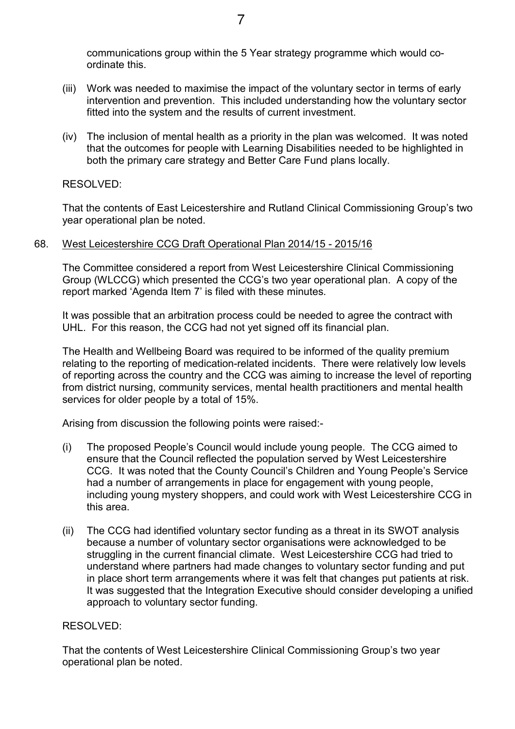communications group within the 5 Year strategy programme which would coordinate this.

- (iii) Work was needed to maximise the impact of the voluntary sector in terms of early intervention and prevention. This included understanding how the voluntary sector fitted into the system and the results of current investment.
- (iv) The inclusion of mental health as a priority in the plan was welcomed. It was noted that the outcomes for people with Learning Disabilities needed to be highlighted in both the primary care strategy and Better Care Fund plans locally.

#### RESOLVED:

That the contents of East Leicestershire and Rutland Clinical Commissioning Group's two year operational plan be noted.

#### 68. West Leicestershire CCG Draft Operational Plan 2014/15 - 2015/16

The Committee considered a report from West Leicestershire Clinical Commissioning Group (WLCCG) which presented the CCG's two year operational plan. A copy of the report marked 'Agenda Item 7' is filed with these minutes.

It was possible that an arbitration process could be needed to agree the contract with UHL. For this reason, the CCG had not yet signed off its financial plan.

The Health and Wellbeing Board was required to be informed of the quality premium relating to the reporting of medication-related incidents. There were relatively low levels of reporting across the country and the CCG was aiming to increase the level of reporting from district nursing, community services, mental health practitioners and mental health services for older people by a total of 15%.

Arising from discussion the following points were raised:-

- (i) The proposed People's Council would include young people. The CCG aimed to ensure that the Council reflected the population served by West Leicestershire CCG. It was noted that the County Council's Children and Young People's Service had a number of arrangements in place for engagement with young people, including young mystery shoppers, and could work with West Leicestershire CCG in this area.
- (ii) The CCG had identified voluntary sector funding as a threat in its SWOT analysis because a number of voluntary sector organisations were acknowledged to be struggling in the current financial climate. West Leicestershire CCG had tried to understand where partners had made changes to voluntary sector funding and put in place short term arrangements where it was felt that changes put patients at risk. It was suggested that the Integration Executive should consider developing a unified approach to voluntary sector funding.

# RESOLVED:

That the contents of West Leicestershire Clinical Commissioning Group's two year operational plan be noted.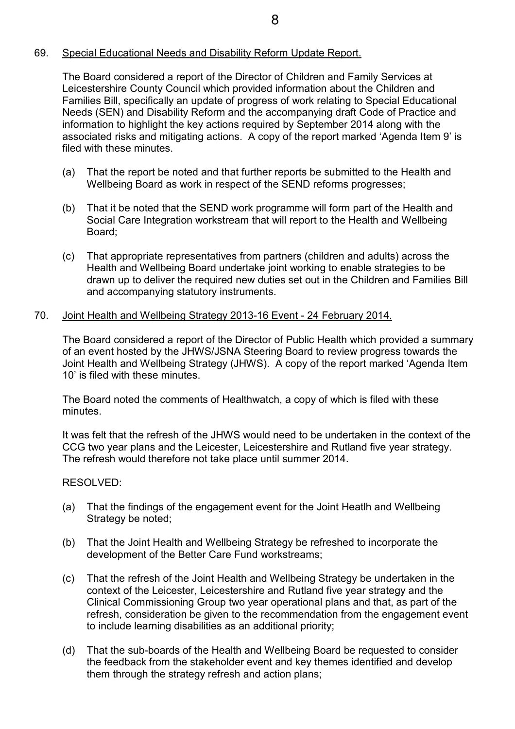# 69. Special Educational Needs and Disability Reform Update Report.

The Board considered a report of the Director of Children and Family Services at Leicestershire County Council which provided information about the Children and Families Bill, specifically an update of progress of work relating to Special Educational Needs (SEN) and Disability Reform and the accompanying draft Code of Practice and information to highlight the key actions required by September 2014 along with the associated risks and mitigating actions. A copy of the report marked 'Agenda Item 9' is filed with these minutes

- (a) That the report be noted and that further reports be submitted to the Health and Wellbeing Board as work in respect of the SEND reforms progresses;
- (b) That it be noted that the SEND work programme will form part of the Health and Social Care Integration workstream that will report to the Health and Wellbeing Board;
- (c) That appropriate representatives from partners (children and adults) across the Health and Wellbeing Board undertake joint working to enable strategies to be drawn up to deliver the required new duties set out in the Children and Families Bill and accompanying statutory instruments.

# 70. Joint Health and Wellbeing Strategy 2013-16 Event - 24 February 2014.

The Board considered a report of the Director of Public Health which provided a summary of an event hosted by the JHWS/JSNA Steering Board to review progress towards the Joint Health and Wellbeing Strategy (JHWS). A copy of the report marked 'Agenda Item 10' is filed with these minutes.

The Board noted the comments of Healthwatch, a copy of which is filed with these minutes.

It was felt that the refresh of the JHWS would need to be undertaken in the context of the CCG two year plans and the Leicester, Leicestershire and Rutland five year strategy. The refresh would therefore not take place until summer 2014.

# RESOLVED:

- (a) That the findings of the engagement event for the Joint Heatlh and Wellbeing Strategy be noted;
- (b) That the Joint Health and Wellbeing Strategy be refreshed to incorporate the development of the Better Care Fund workstreams;
- (c) That the refresh of the Joint Health and Wellbeing Strategy be undertaken in the context of the Leicester, Leicestershire and Rutland five year strategy and the Clinical Commissioning Group two year operational plans and that, as part of the refresh, consideration be given to the recommendation from the engagement event to include learning disabilities as an additional priority;
- (d) That the sub-boards of the Health and Wellbeing Board be requested to consider the feedback from the stakeholder event and key themes identified and develop them through the strategy refresh and action plans;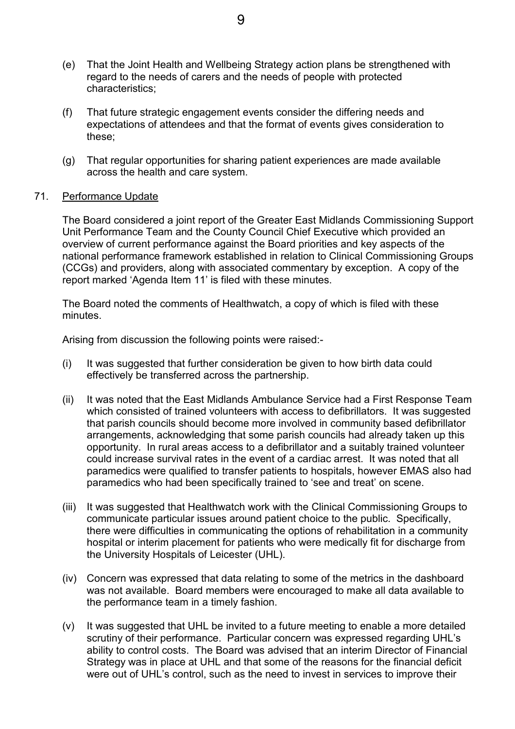- (e) That the Joint Health and Wellbeing Strategy action plans be strengthened with regard to the needs of carers and the needs of people with protected characteristics;
- (f) That future strategic engagement events consider the differing needs and expectations of attendees and that the format of events gives consideration to these;
- (g) That regular opportunities for sharing patient experiences are made available across the health and care system.

## 71. Performance Update

The Board considered a joint report of the Greater East Midlands Commissioning Support Unit Performance Team and the County Council Chief Executive which provided an overview of current performance against the Board priorities and key aspects of the national performance framework established in relation to Clinical Commissioning Groups (CCGs) and providers, along with associated commentary by exception. A copy of the report marked 'Agenda Item 11' is filed with these minutes.

The Board noted the comments of Healthwatch, a copy of which is filed with these minutes.

Arising from discussion the following points were raised:-

- (i) It was suggested that further consideration be given to how birth data could effectively be transferred across the partnership.
- (ii) It was noted that the East Midlands Ambulance Service had a First Response Team which consisted of trained volunteers with access to defibrillators. It was suggested that parish councils should become more involved in community based defibrillator arrangements, acknowledging that some parish councils had already taken up this opportunity. In rural areas access to a defibrillator and a suitably trained volunteer could increase survival rates in the event of a cardiac arrest. It was noted that all paramedics were qualified to transfer patients to hospitals, however EMAS also had paramedics who had been specifically trained to 'see and treat' on scene.
- (iii) It was suggested that Healthwatch work with the Clinical Commissioning Groups to communicate particular issues around patient choice to the public. Specifically, there were difficulties in communicating the options of rehabilitation in a community hospital or interim placement for patients who were medically fit for discharge from the University Hospitals of Leicester (UHL).
- (iv) Concern was expressed that data relating to some of the metrics in the dashboard was not available. Board members were encouraged to make all data available to the performance team in a timely fashion.
- (v) It was suggested that UHL be invited to a future meeting to enable a more detailed scrutiny of their performance. Particular concern was expressed regarding UHL's ability to control costs. The Board was advised that an interim Director of Financial Strategy was in place at UHL and that some of the reasons for the financial deficit were out of UHL's control, such as the need to invest in services to improve their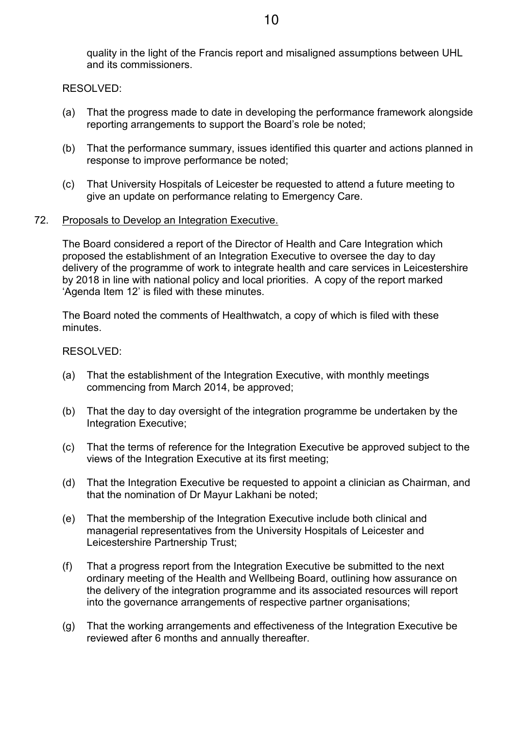quality in the light of the Francis report and misaligned assumptions between UHL and its commissioners.

RESOLVED:

- (a) That the progress made to date in developing the performance framework alongside reporting arrangements to support the Board's role be noted;
- (b) That the performance summary, issues identified this quarter and actions planned in response to improve performance be noted;
- (c) That University Hospitals of Leicester be requested to attend a future meeting to give an update on performance relating to Emergency Care.

#### 72. Proposals to Develop an Integration Executive.

The Board considered a report of the Director of Health and Care Integration which proposed the establishment of an Integration Executive to oversee the day to day delivery of the programme of work to integrate health and care services in Leicestershire by 2018 in line with national policy and local priorities. A copy of the report marked 'Agenda Item 12' is filed with these minutes.

The Board noted the comments of Healthwatch, a copy of which is filed with these minutes.

#### RESOLVED:

- (a) That the establishment of the Integration Executive, with monthly meetings commencing from March 2014, be approved;
- (b) That the day to day oversight of the integration programme be undertaken by the Integration Executive;
- (c) That the terms of reference for the Integration Executive be approved subject to the views of the Integration Executive at its first meeting;
- (d) That the Integration Executive be requested to appoint a clinician as Chairman, and that the nomination of Dr Mayur Lakhani be noted;
- (e) That the membership of the Integration Executive include both clinical and managerial representatives from the University Hospitals of Leicester and Leicestershire Partnership Trust;
- (f) That a progress report from the Integration Executive be submitted to the next ordinary meeting of the Health and Wellbeing Board, outlining how assurance on the delivery of the integration programme and its associated resources will report into the governance arrangements of respective partner organisations;
- (g) That the working arrangements and effectiveness of the Integration Executive be reviewed after 6 months and annually thereafter.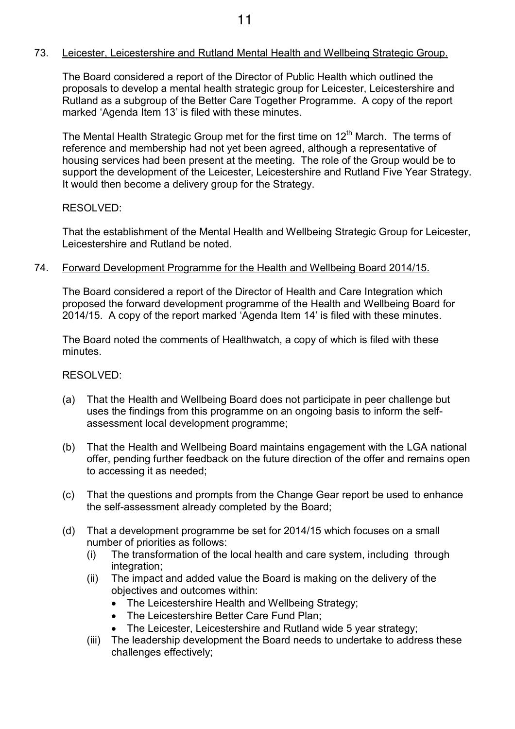## 73. Leicester, Leicestershire and Rutland Mental Health and Wellbeing Strategic Group.

The Board considered a report of the Director of Public Health which outlined the proposals to develop a mental health strategic group for Leicester, Leicestershire and Rutland as a subgroup of the Better Care Together Programme. A copy of the report marked 'Agenda Item 13' is filed with these minutes.

The Mental Health Strategic Group met for the first time on 12<sup>th</sup> March. The terms of reference and membership had not yet been agreed, although a representative of housing services had been present at the meeting. The role of the Group would be to support the development of the Leicester, Leicestershire and Rutland Five Year Strategy. It would then become a delivery group for the Strategy.

# RESOLVED:

That the establishment of the Mental Health and Wellbeing Strategic Group for Leicester, Leicestershire and Rutland be noted.

#### 74. Forward Development Programme for the Health and Wellbeing Board 2014/15.

The Board considered a report of the Director of Health and Care Integration which proposed the forward development programme of the Health and Wellbeing Board for 2014/15. A copy of the report marked 'Agenda Item 14' is filed with these minutes.

The Board noted the comments of Healthwatch, a copy of which is filed with these minutes.

# RESOLVED:

- (a) That the Health and Wellbeing Board does not participate in peer challenge but uses the findings from this programme on an ongoing basis to inform the selfassessment local development programme;
- (b) That the Health and Wellbeing Board maintains engagement with the LGA national offer, pending further feedback on the future direction of the offer and remains open to accessing it as needed;
- (c) That the questions and prompts from the Change Gear report be used to enhance the self-assessment already completed by the Board;
- (d) That a development programme be set for 2014/15 which focuses on a small number of priorities as follows:
	- (i) The transformation of the local health and care system, including through integration;
	- (ii) The impact and added value the Board is making on the delivery of the objectives and outcomes within:
		- The Leicestershire Health and Wellbeing Strategy;
		- The Leicestershire Better Care Fund Plan;
		- The Leicester, Leicestershire and Rutland wide 5 year strategy;
	- (iii) The leadership development the Board needs to undertake to address these challenges effectively;